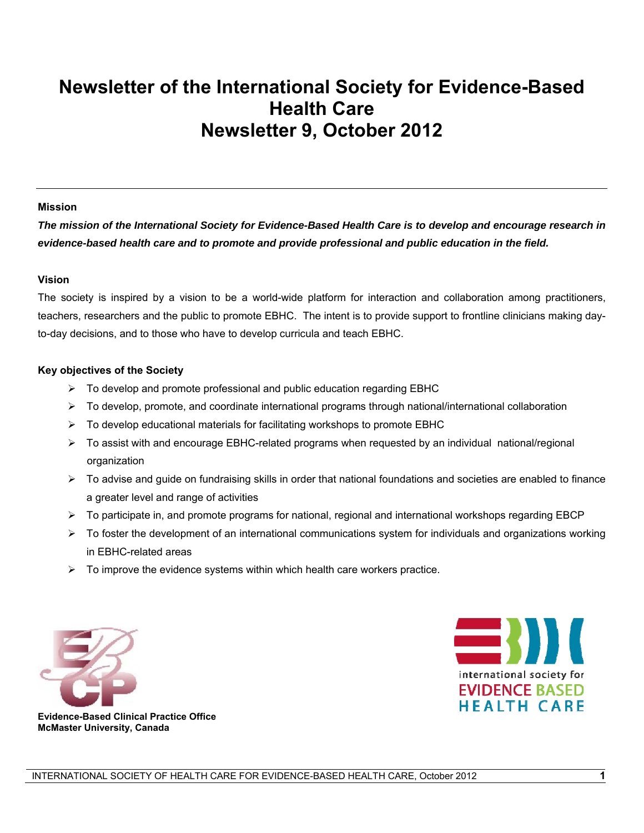# **Newsletter of the International Society for Evidence-Based Health Care Newsletter 9, October 2012**

#### **Mission**

*The mission of the International Society for Evidence-Based Health Care is to develop and encourage research in evidence-based health care and to promote and provide professional and public education in the field.* 

#### **Vision**

The society is inspired by a vision to be a world-wide platform for interaction and collaboration among practitioners, teachers, researchers and the public to promote EBHC. The intent is to provide support to frontline clinicians making dayto-day decisions, and to those who have to develop curricula and teach EBHC.

#### **Key objectives of the Society**

- $\triangleright$  To develop and promote professional and public education regarding EBHC
- $\triangleright$  To develop, promote, and coordinate international programs through national/international collaboration
- $\triangleright$  To develop educational materials for facilitating workshops to promote EBHC
- To assist with and encourage EBHC-related programs when requested by an individual national/regional organization
- $\triangleright$  To advise and guide on fundraising skills in order that national foundations and societies are enabled to finance a greater level and range of activities
- $\triangleright$  To participate in, and promote programs for national, regional and international workshops regarding EBCP
- $\triangleright$  To foster the development of an international communications system for individuals and organizations working in EBHC-related areas
- $\triangleright$  To improve the evidence systems within which health care workers practice.





 **Evidence-Based Clinical Practice Office McMaster University, Canada**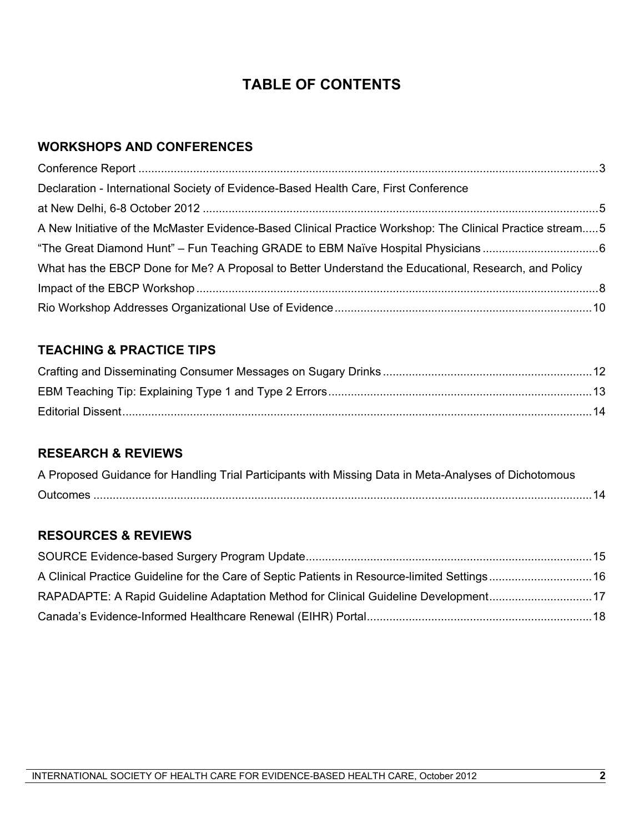# **TABLE OF CONTENTS**

# **WORKSHOPS AND CONFERENCES**

| Declaration - International Society of Evidence-Based Health Care, First Conference                       |  |
|-----------------------------------------------------------------------------------------------------------|--|
|                                                                                                           |  |
| A New Initiative of the McMaster Evidence-Based Clinical Practice Workshop: The Clinical Practice stream5 |  |
|                                                                                                           |  |
| What has the EBCP Done for Me? A Proposal to Better Understand the Educational, Research, and Policy      |  |
|                                                                                                           |  |
|                                                                                                           |  |

# **TEACHING & PRACTICE TIPS**

# **RESEARCH & REVIEWS**

| A Proposed Guidance for Handling Trial Participants with Missing Data in Meta-Analyses of Dichotomous |  |
|-------------------------------------------------------------------------------------------------------|--|
|                                                                                                       |  |

# **RESOURCES & REVIEWS**

| A Clinical Practice Guideline for the Care of Septic Patients in Resource-limited Settings 16 |  |
|-----------------------------------------------------------------------------------------------|--|
| RAPADAPTE: A Rapid Guideline Adaptation Method for Clinical Guideline Development17           |  |
|                                                                                               |  |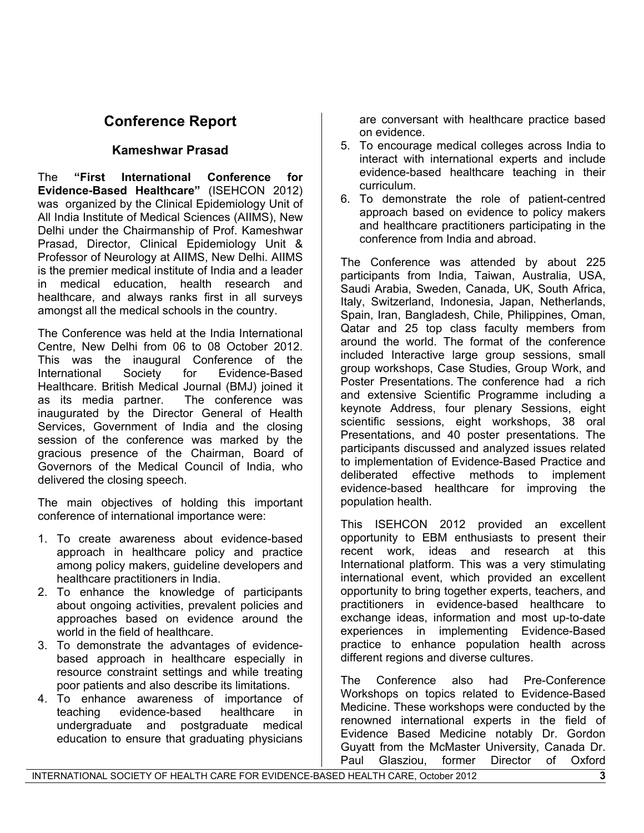# **Conference Report**

### **Kameshwar Prasad**

The **"First International Conference for Evidence-Based Healthcare"** (ISEHCON 2012) was organized by the Clinical Epidemiology Unit of All India Institute of Medical Sciences (AIIMS), New Delhi under the Chairmanship of Prof. Kameshwar Prasad, Director, Clinical Epidemiology Unit & Professor of Neurology at AIIMS, New Delhi. AIIMS is the premier medical institute of India and a leader in medical education, health research and healthcare, and always ranks first in all surveys amongst all the medical schools in the country.

The Conference was held at the India International Centre, New Delhi from 06 to 08 October 2012. This was the inaugural Conference of the International Society for Evidence-Based Healthcare. British Medical Journal (BMJ) joined it as its media partner. The conference was inaugurated by the Director General of Health Services, Government of India and the closing session of the conference was marked by the gracious presence of the Chairman, Board of Governors of the Medical Council of India, who delivered the closing speech.

The main objectives of holding this important conference of international importance were:

- 1. To create awareness about evidence-based approach in healthcare policy and practice among policy makers, guideline developers and healthcare practitioners in India.
- 2. To enhance the knowledge of participants about ongoing activities, prevalent policies and approaches based on evidence around the world in the field of healthcare.
- 3. To demonstrate the advantages of evidencebased approach in healthcare especially in resource constraint settings and while treating poor patients and also describe its limitations.
- 4. To enhance awareness of importance of teaching evidence-based healthcare in undergraduate and postgraduate medical education to ensure that graduating physicians

are conversant with healthcare practice based on evidence.

- 5. To encourage medical colleges across India to interact with international experts and include evidence-based healthcare teaching in their curriculum.
- 6. To demonstrate the role of patient-centred approach based on evidence to policy makers and healthcare practitioners participating in the conference from India and abroad.

The Conference was attended by about 225 participants from India, Taiwan, Australia, USA, Saudi Arabia, Sweden, Canada, UK, South Africa, Italy, Switzerland, Indonesia, Japan, Netherlands, Spain, Iran, Bangladesh, Chile, Philippines, Oman, Qatar and 25 top class faculty members from around the world. The format of the conference included Interactive large group sessions, small group workshops, Case Studies, Group Work, and Poster Presentations. The conference had a rich and extensive Scientific Programme including a keynote Address, four plenary Sessions, eight scientific sessions, eight workshops, 38 oral Presentations, and 40 poster presentations. The participants discussed and analyzed issues related to implementation of Evidence-Based Practice and deliberated effective methods to implement evidence-based healthcare for improving the population health.

This ISEHCON 2012 provided an excellent opportunity to EBM enthusiasts to present their recent work, ideas and research at this International platform. This was a very stimulating international event, which provided an excellent opportunity to bring together experts, teachers, and practitioners in evidence-based healthcare to exchange ideas, information and most up-to-date experiences in implementing Evidence-Based practice to enhance population health across different regions and diverse cultures.

The Conference also had Pre-Conference Workshops on topics related to Evidence-Based Medicine. These workshops were conducted by the renowned international experts in the field of Evidence Based Medicine notably Dr. Gordon Guyatt from the McMaster University, Canada Dr. Paul Glasziou, former Director of Oxford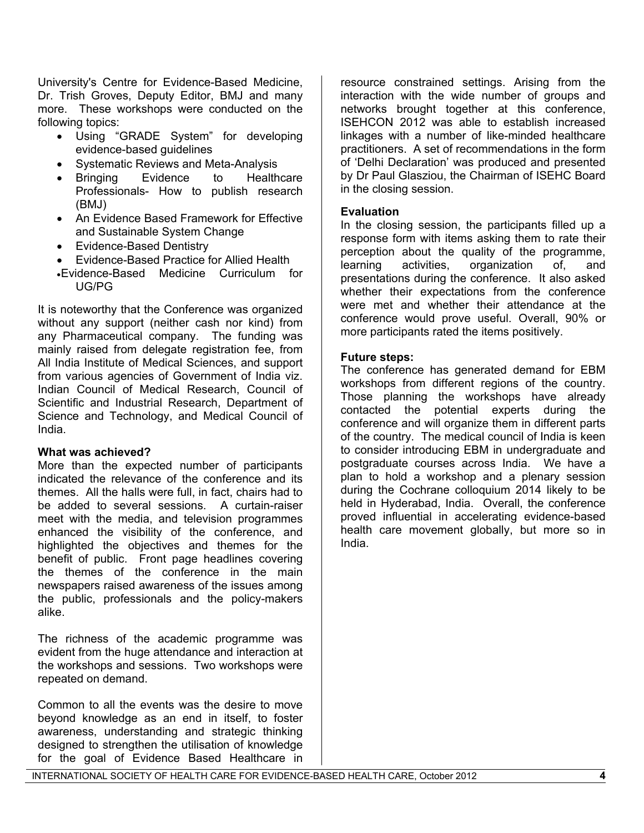University's Centre for Evidence-Based Medicine, Dr. Trish Groves, Deputy Editor, BMJ and many more. These workshops were conducted on the following topics:

- Using "GRADE System" for developing evidence-based guidelines
- Systematic Reviews and Meta-Analysis
- Bringing Evidence to Healthcare Professionals- How to publish research (BMJ)
- An Evidence Based Framework for Effective and Sustainable System Change
- Evidence-Based Dentistry
- Evidence-Based Practice for Allied Health
- Evidence-Based Medicine Curriculum for UG/PG

It is noteworthy that the Conference was organized without any support (neither cash nor kind) from any Pharmaceutical company. The funding was mainly raised from delegate registration fee, from All India Institute of Medical Sciences, and support from various agencies of Government of India viz. Indian Council of Medical Research, Council of Scientific and Industrial Research, Department of Science and Technology, and Medical Council of India.

#### **What was achieved?**

More than the expected number of participants indicated the relevance of the conference and its themes. All the halls were full, in fact, chairs had to be added to several sessions. A curtain-raiser meet with the media, and television programmes enhanced the visibility of the conference, and highlighted the objectives and themes for the benefit of public. Front page headlines covering the themes of the conference in the main newspapers raised awareness of the issues among the public, professionals and the policy-makers alike.

The richness of the academic programme was evident from the huge attendance and interaction at the workshops and sessions. Two workshops were repeated on demand.

Common to all the events was the desire to move beyond knowledge as an end in itself, to foster awareness, understanding and strategic thinking designed to strengthen the utilisation of knowledge for the goal of Evidence Based Healthcare in

resource constrained settings. Arising from the interaction with the wide number of groups and networks brought together at this conference, ISEHCON 2012 was able to establish increased linkages with a number of like-minded healthcare practitioners. A set of recommendations in the form of 'Delhi Declaration' was produced and presented by Dr Paul Glasziou, the Chairman of ISEHC Board in the closing session.

#### **Evaluation**

In the closing session, the participants filled up a response form with items asking them to rate their perception about the quality of the programme, learning activities, organization of, and presentations during the conference. It also asked whether their expectations from the conference were met and whether their attendance at the conference would prove useful. Overall, 90% or more participants rated the items positively.

#### **Future steps:**

The conference has generated demand for EBM workshops from different regions of the country. Those planning the workshops have already contacted the potential experts during the conference and will organize them in different parts of the country. The medical council of India is keen to consider introducing EBM in undergraduate and postgraduate courses across India. We have a plan to hold a workshop and a plenary session during the Cochrane colloquium 2014 likely to be held in Hyderabad, India. Overall, the conference proved influential in accelerating evidence-based health care movement globally, but more so in India.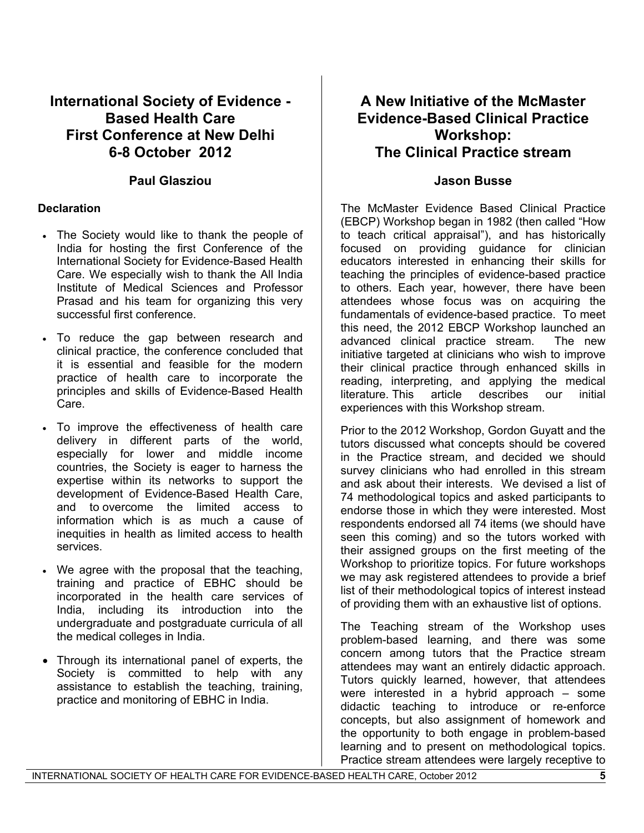# **International Society of Evidence - Based Health Care First Conference at New Delhi 6-8 October 2012**

### **Paul Glasziou**

#### **Declaration**

- The Society would like to thank the people of India for hosting the first Conference of the International Society for Evidence-Based Health Care. We especially wish to thank the All India Institute of Medical Sciences and Professor Prasad and his team for organizing this very successful first conference.
- To reduce the gap between research and clinical practice, the conference concluded that it is essential and feasible for the modern practice of health care to incorporate the principles and skills of Evidence-Based Health Care.
- To improve the effectiveness of health care delivery in different parts of the world, especially for lower and middle income countries, the Society is eager to harness the expertise within its networks to support the development of Evidence-Based Health Care, and to overcome the limited access to information which is as much a cause of inequities in health as limited access to health services.
- We agree with the proposal that the teaching, training and practice of EBHC should be incorporated in the health care services of India, including its introduction into the undergraduate and postgraduate curricula of all the medical colleges in India.
- Through its international panel of experts, the Society is committed to help with any assistance to establish the teaching, training, practice and monitoring of EBHC in India.

# **A New Initiative of the McMaster Evidence-Based Clinical Practice Workshop: The Clinical Practice stream**

### **Jason Busse**

The McMaster Evidence Based Clinical Practice (EBCP) Workshop began in 1982 (then called "How to teach critical appraisal"), and has historically focused on providing guidance for clinician educators interested in enhancing their skills for teaching the principles of evidence-based practice to others. Each year, however, there have been attendees whose focus was on acquiring the fundamentals of evidence-based practice. To meet this need, the 2012 EBCP Workshop launched an advanced clinical practice stream. The new initiative targeted at clinicians who wish to improve their clinical practice through enhanced skills in reading, interpreting, and applying the medical literature. This article describes our initial experiences with this Workshop stream.

Prior to the 2012 Workshop, Gordon Guyatt and the tutors discussed what concepts should be covered in the Practice stream, and decided we should survey clinicians who had enrolled in this stream and ask about their interests. We devised a list of 74 methodological topics and asked participants to endorse those in which they were interested. Most respondents endorsed all 74 items (we should have seen this coming) and so the tutors worked with their assigned groups on the first meeting of the Workshop to prioritize topics. For future workshops we may ask registered attendees to provide a brief list of their methodological topics of interest instead of providing them with an exhaustive list of options.

The Teaching stream of the Workshop uses problem-based learning, and there was some concern among tutors that the Practice stream attendees may want an entirely didactic approach. Tutors quickly learned, however, that attendees were interested in a hybrid approach – some didactic teaching to introduce or re-enforce concepts, but also assignment of homework and the opportunity to both engage in problem-based learning and to present on methodological topics. Practice stream attendees were largely receptive to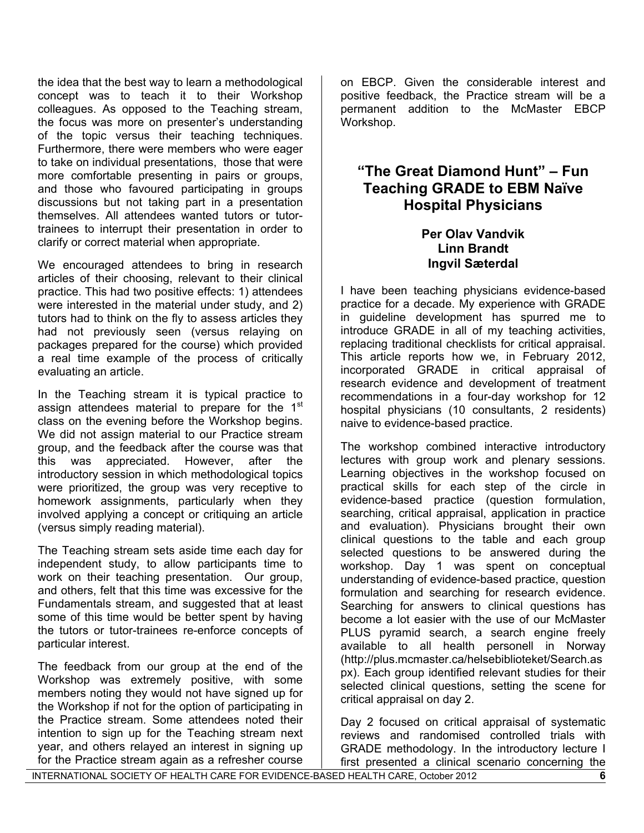the idea that the best way to learn a methodological concept was to teach it to their Workshop colleagues. As opposed to the Teaching stream, the focus was more on presenter's understanding of the topic versus their teaching techniques. Furthermore, there were members who were eager to take on individual presentations, those that were more comfortable presenting in pairs or groups, and those who favoured participating in groups discussions but not taking part in a presentation themselves. All attendees wanted tutors or tutortrainees to interrupt their presentation in order to clarify or correct material when appropriate.

We encouraged attendees to bring in research articles of their choosing, relevant to their clinical practice. This had two positive effects: 1) attendees were interested in the material under study, and 2) tutors had to think on the fly to assess articles they had not previously seen (versus relaying on packages prepared for the course) which provided a real time example of the process of critically evaluating an article.

In the Teaching stream it is typical practice to assign attendees material to prepare for the 1<sup>st</sup> class on the evening before the Workshop begins. We did not assign material to our Practice stream group, and the feedback after the course was that this was appreciated. However, after the introductory session in which methodological topics were prioritized, the group was very receptive to homework assignments, particularly when they involved applying a concept or critiquing an article (versus simply reading material).

The Teaching stream sets aside time each day for independent study, to allow participants time to work on their teaching presentation. Our group, and others, felt that this time was excessive for the Fundamentals stream, and suggested that at least some of this time would be better spent by having the tutors or tutor-trainees re-enforce concepts of particular interest.

The feedback from our group at the end of the Workshop was extremely positive, with some members noting they would not have signed up for the Workshop if not for the option of participating in the Practice stream. Some attendees noted their intention to sign up for the Teaching stream next year, and others relayed an interest in signing up for the Practice stream again as a refresher course

on EBCP. Given the considerable interest and positive feedback, the Practice stream will be a permanent addition to the McMaster EBCP Workshop.

# **"The Great Diamond Hunt" – Fun Teaching GRADE to EBM Naïve Hospital Physicians**

### **Per Olav Vandvik Linn Brandt Ingvil Sæterdal**

I have been teaching physicians evidence-based practice for a decade. My experience with GRADE in guideline development has spurred me to introduce GRADE in all of my teaching activities, replacing traditional checklists for critical appraisal. This article reports how we, in February 2012, incorporated GRADE in critical appraisal of research evidence and development of treatment recommendations in a four-day workshop for 12 hospital physicians (10 consultants, 2 residents) naive to evidence-based practice.

The workshop combined interactive introductory lectures with group work and plenary sessions. Learning objectives in the workshop focused on practical skills for each step of the circle in evidence-based practice (question formulation, searching, critical appraisal, application in practice and evaluation). Physicians brought their own clinical questions to the table and each group selected questions to be answered during the workshop. Day 1 was spent on conceptual understanding of evidence-based practice, question formulation and searching for research evidence. Searching for answers to clinical questions has become a lot easier with the use of our McMaster PLUS pyramid search, a search engine freely available to all health personell in Norway (http://plus.mcmaster.ca/helsebiblioteket/Search.as px). Each group identified relevant studies for their selected clinical questions, setting the scene for critical appraisal on day 2.

Day 2 focused on critical appraisal of systematic reviews and randomised controlled trials with GRADE methodology. In the introductory lecture I first presented a clinical scenario concerning the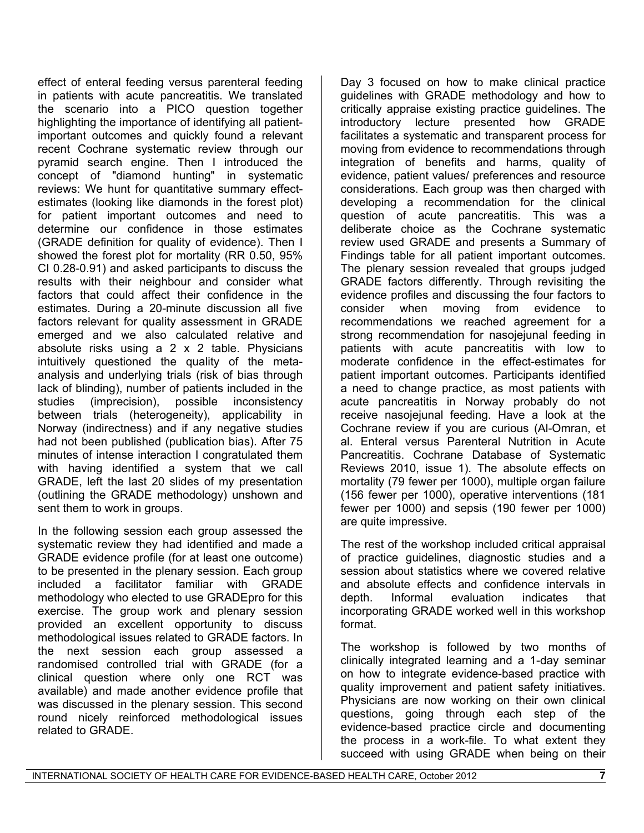effect of enteral feeding versus parenteral feeding in patients with acute pancreatitis. We translated the scenario into a PICO question together highlighting the importance of identifying all patientimportant outcomes and quickly found a relevant recent Cochrane systematic review through our pyramid search engine. Then I introduced the concept of "diamond hunting" in systematic reviews: We hunt for quantitative summary effectestimates (looking like diamonds in the forest plot) for patient important outcomes and need to determine our confidence in those estimates (GRADE definition for quality of evidence). Then I showed the forest plot for mortality (RR 0.50, 95% CI 0.28-0.91) and asked participants to discuss the results with their neighbour and consider what factors that could affect their confidence in the estimates. During a 20-minute discussion all five factors relevant for quality assessment in GRADE emerged and we also calculated relative and absolute risks using a 2 x 2 table. Physicians intuitively questioned the quality of the metaanalysis and underlying trials (risk of bias through lack of blinding), number of patients included in the studies (imprecision), possible inconsistency between trials (heterogeneity), applicability in Norway (indirectness) and if any negative studies had not been published (publication bias). After 75 minutes of intense interaction I congratulated them with having identified a system that we call GRADE, left the last 20 slides of my presentation (outlining the GRADE methodology) unshown and sent them to work in groups.

In the following session each group assessed the systematic review they had identified and made a GRADE evidence profile (for at least one outcome) to be presented in the plenary session. Each group included a facilitator familiar with GRADE methodology who elected to use GRADEpro for this exercise. The group work and plenary session provided an excellent opportunity to discuss methodological issues related to GRADE factors. In the next session each group assessed a randomised controlled trial with GRADE (for a clinical question where only one RCT was available) and made another evidence profile that was discussed in the plenary session. This second round nicely reinforced methodological issues related to GRADE.

Day 3 focused on how to make clinical practice guidelines with GRADE methodology and how to critically appraise existing practice guidelines. The introductory lecture presented how GRADE facilitates a systematic and transparent process for moving from evidence to recommendations through integration of benefits and harms, quality of evidence, patient values/ preferences and resource considerations. Each group was then charged with developing a recommendation for the clinical question of acute pancreatitis. This was a deliberate choice as the Cochrane systematic review used GRADE and presents a Summary of Findings table for all patient important outcomes. The plenary session revealed that groups judged GRADE factors differently. Through revisiting the evidence profiles and discussing the four factors to consider when moving from evidence to recommendations we reached agreement for a strong recommendation for nasojejunal feeding in patients with acute pancreatitis with low to moderate confidence in the effect-estimates for patient important outcomes. Participants identified a need to change practice, as most patients with acute pancreatitis in Norway probably do not receive nasojejunal feeding. Have a look at the Cochrane review if you are curious (Al-Omran, et al. Enteral versus Parenteral Nutrition in Acute Pancreatitis. Cochrane Database of Systematic Reviews 2010, issue 1). The absolute effects on mortality (79 fewer per 1000), multiple organ failure (156 fewer per 1000), operative interventions (181 fewer per 1000) and sepsis (190 fewer per 1000) are quite impressive.

The rest of the workshop included critical appraisal of practice guidelines, diagnostic studies and a session about statistics where we covered relative and absolute effects and confidence intervals in depth. Informal evaluation indicates that incorporating GRADE worked well in this workshop format.

The workshop is followed by two months of clinically integrated learning and a 1-day seminar on how to integrate evidence-based practice with quality improvement and patient safety initiatives. Physicians are now working on their own clinical questions, going through each step of the evidence-based practice circle and documenting the process in a work-file. To what extent they succeed with using GRADE when being on their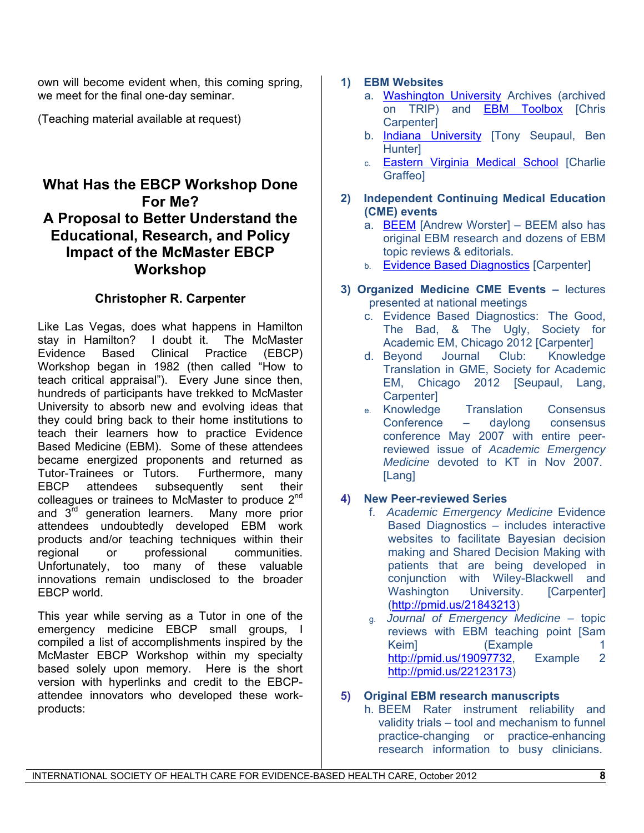own will become evident when, this coming spring, we meet for the final one-day seminar.

(Teaching material available at request)

# **What Has the EBCP Workshop Done For Me? A Proposal to Better Understand the Educational, Research, and Policy Impact of the McMaster EBCP Workshop**

### **Christopher R. Carpenter**

Like Las Vegas, does what happens in Hamilton stay in Hamilton? I doubt it. The McMaster Evidence Based Clinical Practice (EBCP) Workshop began in 1982 (then called "How to teach critical appraisal"). Every June since then, hundreds of participants have trekked to McMaster University to absorb new and evolving ideas that they could bring back to their home institutions to teach their learners how to practice Evidence Based Medicine (EBM). Some of these attendees became energized proponents and returned as Tutor-Trainees or Tutors. Furthermore, many EBCP attendees subsequently sent their colleagues or trainees to McMaster to produce  $2<sup>nd</sup>$ and 3<sup>rd</sup> generation learners. Many more prior attendees undoubtedly developed EBM work products and/or teaching techniques within their regional or professional communities. Unfortunately, too many of these valuable innovations remain undisclosed to the broader EBCP world.

This year while serving as a Tutor in one of the emergency medicine EBCP small groups, I compiled a list of accomplishments inspired by the McMaster EBCP Workshop within my specialty based solely upon memory. Here is the short version with hyperlinks and credit to the EBCPattendee innovators who developed these workproducts:

### **1) EBM Websites**

- a. [Washington University](http://emed.wustl.edu/content/journalclub/em_journal_club.html) Archives (archived on TRIP) and **[EBM Toolbox](http://emed.wustl.edu/content/journalclub/em_links.html)** [Chris Carpenter]
- b. [Indiana University](http://emergency.medicine.iu.edu/n/h/journal-club/) [Tony Seupaul, Ben **Hunterl**
- c. [Eastern Virginia Medical School](http://emjournalclub.com/) [Charlie Graffeo]
- **2) Independent Continuing Medical Education (CME) events** 
	- a. [BEEM](http://www.fhs.mcmaster.ca/emergmed/beem.htm) [Andrew Worster] BEEM also has original EBM research and dozens of EBM topic reviews & editorials.
	- b. [Evidence Based Diagnostics](https://www.cme.ucsf.edu/cme/CourseDetail.aspx?coursenumber=MEP12004) [Carpenter]
- **3) Organized Medicine CME Events** lectures presented at national meetings
	- c. Evidence Based Diagnostics: The Good, The Bad, & The Ugly, Society for Academic EM, Chicago 2012 [Carpenter]
	- d. Beyond Journal Club: Knowledge Translation in GME, Society for Academic EM, Chicago 2012 [Seupaul, Lang, Carpenter]
	- e. Knowledge Translation Consensus Conference – daylong consensus conference May 2007 with entire peerreviewed issue of *Academic Emergency Medicine* devoted to KT in Nov 2007. [Lang]

### **4) New Peer-reviewed Series**

- f. *Academic Emergency Medicine* Evidence Based Diagnostics – includes interactive websites to facilitate Bayesian decision making and Shared Decision Making with patients that are being developed in conjunction with Wiley-Blackwell and Washington University. [Carpenter] ([http://pmid.us/21843213\)](http://pmid.us/21843213)
- g. *Journal of Emergency Medicine* topic reviews with EBM teaching point [Sam Keiml **(Example 1)** <http://pmid.us/19097732>, Example 2 <http://pmid.us/22123173>)

#### **5) Original EBM research manuscripts**

h. BEEM Rater instrument reliability and validity trials – tool and mechanism to funnel practice-changing or practice-enhancing research information to busy clinicians.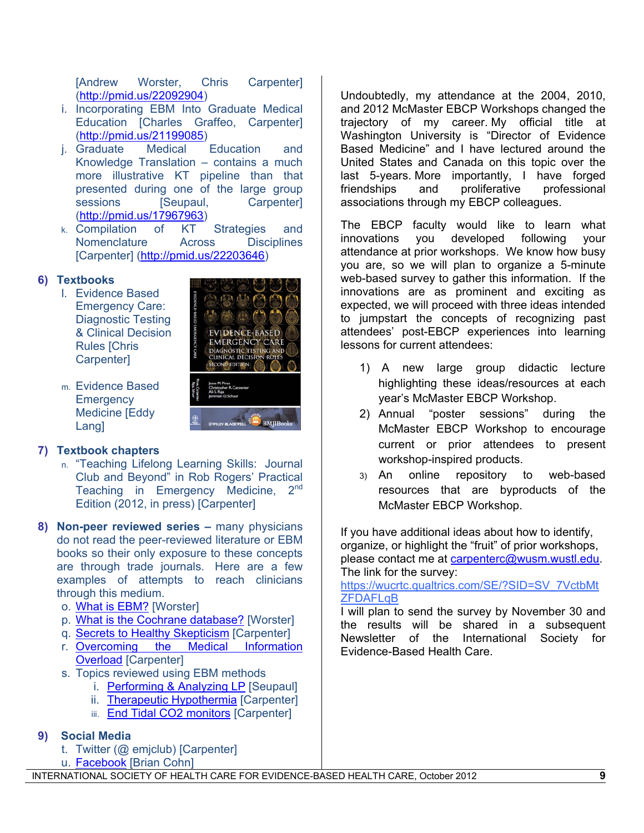[Andrew Worster, Chris Carpenter] (http://pmid.us/22092904)

- i. Incorporating EBM Into Graduate Medical Education [Charles Graffeo, Carpenter] ([http://pmid.us/21199085\)](http://pmid.us/21199085)
- j. Graduate Medical Education and Knowledge Translation – contains a much more illustrative KT pipeline than that presented during one of the large group sessions [Seupaul, Carpenter] ([http://pmid.us/17967963\)](http://pmid.us/17967963)
- k. Compilation of KT Strategies and Nomenclature Across Disciplines [Carpenter] ([http://pmid.us/22203646\)](http://pmid.us/22203646)

### **6) Textbooks**

- l. Evidence Based Emergency Care: Diagnostic Testing & Clinical Decision Rules [Chris Carpenter]
- **EMERGENCY CAR** IAGNOSTIC TESTING<br>LINICAL DECISION R **OND EDITION**
- m. Evidence Based **Emergency** Medicine [Eddy **Langl**

### **7) Textbook chapters**

- n. "Teaching Lifelong Learning Skills: Journal Club and Beyond" in Rob Rogers' Practical Teaching in Emergency Medicine, 2<sup>nd</sup> Edition (2012, in press) [Carpenter]
- **8) Non-peer reviewed series** many physicians do not read the peer-reviewed literature or EBM books so their only exposure to these concepts are through trade journals. Here are a few examples of attempts to reach clinicians through this medium.
	- o. [What is EBM?](http://www.epmonthly.com/the-literature/evidence-based-medicine/examining-the-evidence/) [Worster]
	- p. [What is the Cochrane database?](http://www.epmonthly.com/wellness/profiles/who-is-this-cochrane-guy/) [Worster]
	- q. [Secrets to Healthy Skepticism](http://www.epmonthly.com/archives/features/secrets-to-healthy-skepticism/) [Carpenter]
	- r. [Overcoming the Medical Information](http://www.epmonthly.com/columns/in-my-opinion/information-overload/)  [Overload](http://www.epmonthly.com/columns/in-my-opinion/information-overload/) [Carpenter]
	- s. Topics reviewed using EBM methods
		- i. [Performing & Analyzing LP](http://www.epmonthly.com/the-literature/evidence-based-medicine/perform-an-lp-and-analyze-the-results-to-dx-bacterial-meningitis/) [Seupaul]
		- ii. [Therapeutic Hypothermia](http://www.epmonthly.com/the-literature/evidence-based-medicine/does-therapeutic-hypothermia-benefit-cardiac-arrest-survivors/) [Carpenter]
		- iii. [End Tidal CO2 monitors](http://www.epmonthly.com/the-literature/evidence-based-medicine/should-your-ed-invest-in-end-tidal-carbon-dioxide-detectors-for-procedural-sedation/) [Carpenter]

# **9) Social Media**

- t. Twitter (@ emjclub) [Carpenter]
- u. [Facebook](http://www.facebook.com/emjclub) [Brian Cohn]

Undoubtedly, my attendance at the 2004, 2010, and 2012 McMaster EBCP Workshops changed the trajectory of my career. My official title at Washington University is "Director of Evidence Based Medicine" and I have lectured around the United States and Canada on this topic over the last 5-years. More importantly, I have forged friendships and proliferative professional associations through my EBCP colleagues.

The EBCP faculty would like to learn what innovations you developed following your attendance at prior workshops. We know how busy you are, so we will plan to organize a 5-minute web-based survey to gather this information. If the innovations are as prominent and exciting as expected, we will proceed with three ideas intended to jumpstart the concepts of recognizing past attendees' post-EBCP experiences into learning lessons for current attendees:

- 1) A new large group didactic lecture highlighting these ideas/resources at each year's McMaster EBCP Workshop.
- 2) Annual "poster sessions" during the McMaster EBCP Workshop to encourage current or prior attendees to present workshop-inspired products.
- 3) An online repository to web-based resources that are byproducts of the McMaster EBCP Workshop.

If you have additional ideas about how to identify, organize, or highlight the "fruit" of prior workshops, please contact me at [carpenterc@wusm.wustl.edu.](mailto:carpenterc@wusm.wustl.edu) The link for the survey:

[https://wucrtc.qualtrics.com/SE/?SID=SV\\_7VctbMt](https://wucrtc.qualtrics.com/SE/?SID=SV_7VctbMtZFDAFLqB) **ZFDAFLqB** 

I will plan to send the survey by November 30 and the results will be shared in a subsequent Newsletter of the International Society for Evidence-Based Health Care.

INTERNATIONAL SOCIETY OF HEALTH CARE FOR EVIDENCE-BASED HEALTH CARE, October 2012 **9**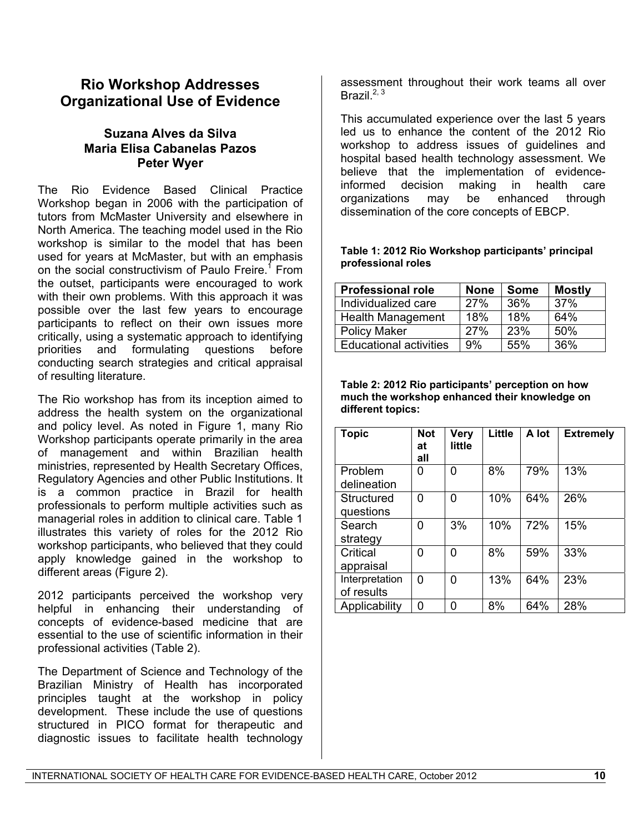# **Rio Workshop Addresses Organizational Use of Evidence**

### **Suzana Alves da Silva Maria Elisa Cabanelas Pazos Peter Wyer**

The Rio Evidence Based Clinical Practice Workshop began in 2006 with the participation of tutors from McMaster University and elsewhere in North America. The teaching model used in the Rio workshop is similar to the model that has been used for years at McMaster, but with an emphasis on the social constructivism of Paulo Freire.<sup>1</sup> From the outset, participants were encouraged to work with their own problems. With this approach it was possible over the last few years to encourage participants to reflect on their own issues more critically, using a systematic approach to identifying priorities and formulating questions before conducting search strategies and critical appraisal of resulting literature.

The Rio workshop has from its inception aimed to address the health system on the organizational and policy level. As noted in Figure 1, many Rio Workshop participants operate primarily in the area of management and within Brazilian health ministries, represented by Health Secretary Offices, Regulatory Agencies and other Public Institutions. It is a common practice in Brazil for health professionals to perform multiple activities such as managerial roles in addition to clinical care. Table 1 illustrates this variety of roles for the 2012 Rio workshop participants, who believed that they could apply knowledge gained in the workshop to different areas (Figure 2).

2012 participants perceived the workshop very helpful in enhancing their understanding of concepts of evidence-based medicine that are essential to the use of scientific information in their professional activities (Table 2).

The Department of Science and Technology of the Brazilian Ministry of Health has incorporated principles taught at the workshop in policy development. These include the use of questions structured in PICO format for therapeutic and diagnostic issues to facilitate health technology

assessment throughout their work teams all over Brazil.<sup>[2](#page-13-1), [3](#page-15-0)</sup>

This accumulated experience over the last 5 years led us to enhance the content of the 2012 Rio workshop to address issues of guidelines and hospital based health technology assessment. We believe that the implementation of evidenceinformed decision making in health care organizations may be enhanced through dissemination of the core concepts of EBCP.

#### **Table 1: 2012 Rio Workshop participants' principal professional roles**

| <b>Professional role</b>      | <b>None</b> | <b>Some</b> | <b>Mostly</b> |
|-------------------------------|-------------|-------------|---------------|
| Individualized care           | 27%         | 36%         | 37%           |
| <b>Health Management</b>      | 18%         | 18%         | 64%           |
| <b>Policy Maker</b>           | 27%         | 23%         | 50%           |
| <b>Educational activities</b> | 9%          | 55%         | 36%           |

**Table 2: 2012 Rio participants' perception on how much the workshop enhanced their knowledge on different topics:** 

| <b>Topic</b>                 | <b>Not</b><br>at<br>all | <b>Very</b><br>little | Little | A lot | <b>Extremely</b> |
|------------------------------|-------------------------|-----------------------|--------|-------|------------------|
| Problem<br>delineation       | 0                       | 0                     | 8%     | 79%   | 13%              |
| Structured<br>questions      | 0                       | 0                     | 10%    | 64%   | 26%              |
| Search<br>strategy           | 0                       | 3%                    | 10%    | 72%   | 15%              |
| Critical<br>appraisal        | 0                       | 0                     | 8%     | 59%   | 33%              |
| Interpretation<br>of results | 0                       | 0                     | 13%    | 64%   | 23%              |
| Applicability                | 0                       | N                     | 8%     | 64%   | 28%              |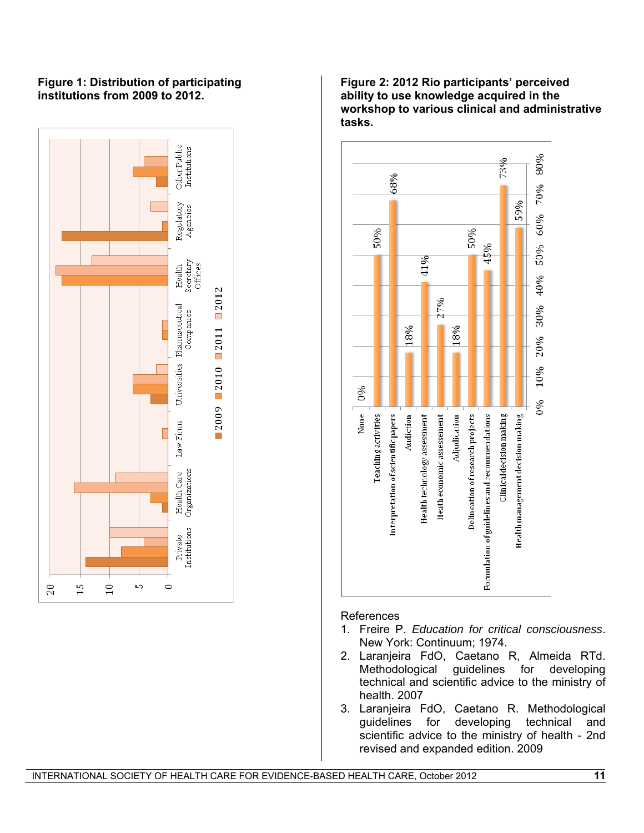#### **Figure 1: Distribution of participating institutions from 2009 to 2012.**



#### **Figure 2: 2012 Rio participants' perceived ability to use knowledge acquired in the workshop to various clinical and administrative tasks.**



#### References

- 1. Freire P. *Education for critical consciousness*. New York: Continuum; 1974.
- 2. Laranjeira FdO, Caetano R, Almeida RTd. Methodological guidelines technical and scientific advice to the ministry of health. 2007
- 3. Laranjeira FdO, Caetano R. Methodological guidelines for developing technical and scientific advice to the ministry of health - 2nd revised and expanded edition. 2009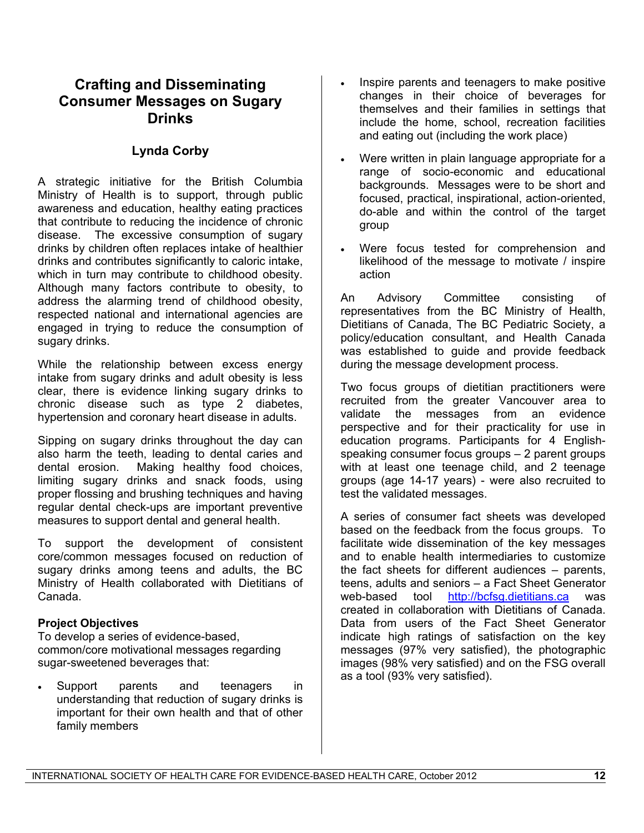# **Crafting and Disseminating Consumer Messages on Sugary Drinks**

## **Lynda Corby**

A strategic initiative for the British Columbia Ministry of Health is to support, through public awareness and education, healthy eating practices that contribute to reducing the incidence of chronic disease. The excessive consumption of sugary drinks by children often replaces intake of healthier drinks and contributes significantly to caloric intake, which in turn may contribute to childhood obesity. Although many factors contribute to obesity, to address the alarming trend of childhood obesity, respected national and international agencies are engaged in trying to reduce the consumption of sugary drinks.

While the relationship between excess energy intake from sugary drinks and adult obesity is less clear, there is evidence linking sugary drinks to chronic disease such as type 2 diabetes, hypertension and coronary heart disease in adults.

Sipping on sugary drinks throughout the day can also harm the teeth, leading to dental caries and dental erosion. Making healthy food choices, limiting sugary drinks and snack foods, using proper flossing and brushing techniques and having regular dental check-ups are important preventive measures to support dental and general health.

To support the development of consistent core/common messages focused on reduction of sugary drinks among teens and adults, the BC Ministry of Health collaborated with Dietitians of Canada.

#### **Project Objectives**

To develop a series of evidence-based, common/core motivational messages regarding sugar-sweetened beverages that:

 Support parents and teenagers in understanding that reduction of sugary drinks is important for their own health and that of other family members

- Inspire parents and teenagers to make positive changes in their choice of beverages for themselves and their families in settings that include the home, school, recreation facilities and eating out (including the work place)
- Were written in plain language appropriate for a range of socio-economic and educational backgrounds. Messages were to be short and focused, practical, inspirational, action-oriented, do-able and within the control of the target group
- Were focus tested for comprehension and likelihood of the message to motivate / inspire action

An Advisory Committee consisting of representatives from the BC Ministry of Health, Dietitians of Canada, The BC Pediatric Society, a policy/education consultant, and Health Canada was established to guide and provide feedback during the message development process.

Two focus groups of dietitian practitioners were recruited from the greater Vancouver area to validate the messages from an evidence perspective and for their practicality for use in education programs. Participants for 4 Englishspeaking consumer focus groups – 2 parent groups with at least one teenage child, and 2 teenage groups (age 14-17 years) - were also recruited to test the validated messages.

A series of consumer fact sheets was developed based on the feedback from the focus groups. To facilitate wide dissemination of the key messages and to enable health intermediaries to customize the fact sheets for different audiences – parents, teens, adults and seniors – a Fact Sheet Generator web-based tool [http://bcfsg.dietitians.ca](http://bcfsg.dietitians.ca/) was created in collaboration with Dietitians of Canada. Data from users of the Fact Sheet Generator indicate high ratings of satisfaction on the key messages (97% very satisfied), the photographic images (98% very satisfied) and on the FSG overall as a tool (93% very satisfied).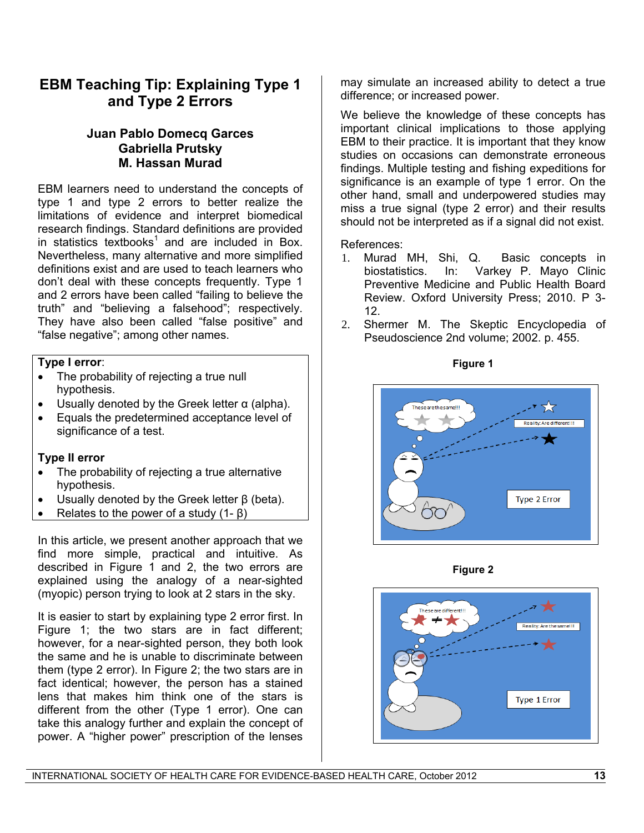# **EBM Teaching Tip: Explaining Type 1 and Type 2 Errors**

### **Juan Pablo Domecq Garces Gabriella Prutsky M. Hassan Murad**

EBM learners need to understand the concepts of type 1 and type 2 errors to better realize the limitations of evidence and interpret biomedical research findings. Standard definitions are provided in statistics textbooks<sup>1</sup> and are included in Box. Nevertheless, many alternative and more simplified definitions exist and are used to teach learners who don't deal with these concepts frequently. Type 1 and 2 errors have been called "failing to believe the truth" and "believing a falsehood"; respectively. They have also been called "false positive" and "false negative"; among other names.

### **Type I error**:

- The probability of rejecting a true null hypothesis.
- $\bullet$  Usually denoted by the Greek letter α (alpha).
- Equals the predetermined acceptance level of significance of a test.

### **Type II error**

- The probability of rejecting a true alternative hypothesis.
- Usually denoted by the Greek letter β (beta).
- Relates to the power of a study  $(1 \beta)$

In this article, we present another approach that we find more simple, practical and intuitive. As described in Figure 1 and 2, the two errors are explained using the analogy of a near-sighted (myopic) person trying to look at 2 stars in the sky.

It is easier to start by explaining type 2 error first. In Figure 1; the two stars are in fact different; however, for a near-sighted person, they both look the same and he is unable to discriminate between them (type 2 error). In Figure 2; the two stars are in fact identical; however, the person has a stained lens that makes him think one of the stars is different from the other (Type 1 error). One can take this analogy further and explain the concept of power. A "higher power" prescription of the lenses

may simulate an increased ability to detect a true difference; or increased power.

We believe the knowledge of these concepts has important clinical implications to those applying EBM to their practice. It is important that they know studies on occasions can demonstrate erroneous findings. Multiple testing and fishing expeditions for significance is an example of type 1 error. On the other hand, small and underpowered studies may miss a true signal (type 2 error) and their results should not be interpreted as if a signal did not exist.

References:

- 1. Murad MH, Shi, Q. Basic concepts in biostatistics. In: Varkey P. Mayo Clinic Preventive Medicine and Public Health Board Review. Oxford University Press; 2010. P 3- 12.
- 2. Shermer M. The Skeptic Encyclopedia of Pseudoscience 2nd volume; 2002. p. 455.

**Figure 1** 





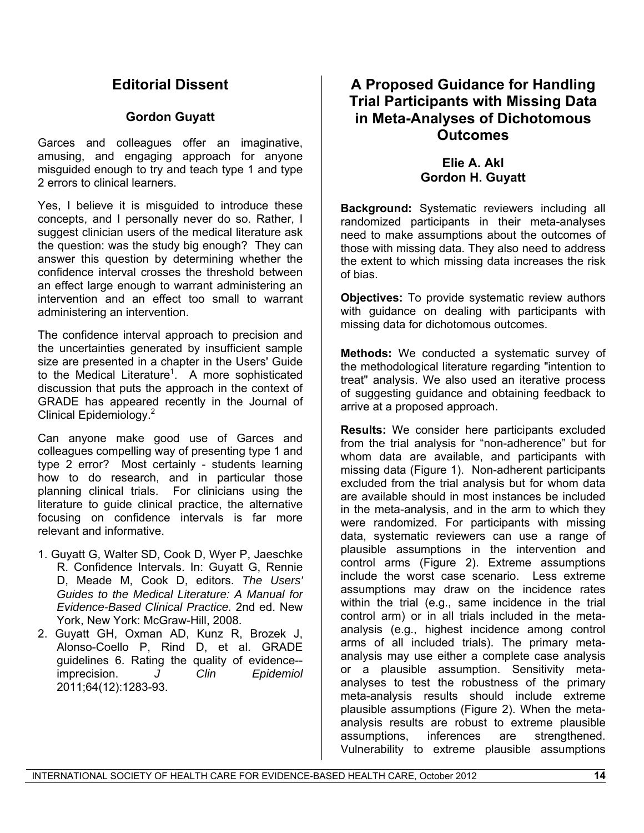# **Editorial Dissent**

### **Gordon Guyatt**

Garces and colleagues offer an imaginative, amusing, and engaging approach for anyone misguided enough to try and teach type 1 and type 2 errors to clinical learners.

Yes, I believe it is misguided to introduce these concepts, and I personally never do so. Rather, I suggest clinician users of the medical literature ask the question: was the study big enough? They can answer this question by determining whether the confidence interval crosses the threshold between an effect large enough to warrant administering an intervention and an effect too small to warrant administering an intervention.

The confidence interval approach to precision and the uncertainties generated by insufficient sample size are presented in a chapter in the Users' Guide to the Medical Literature<sup>[1](#page-13-0)</sup>. A more sophisticated discussion that puts the approach in the context of GRADE has appeared recently in the Journal of Clinical Epidemiology.[2](#page-13-1)

Can anyone make good use of Garces and colleagues compelling way of presenting type 1 and type 2 error? Most certainly - students learning how to do research, and in particular those planning clinical trials. For clinicians using the literature to guide clinical practice, the alternative focusing on confidence intervals is far more relevant and informative.

- <span id="page-13-0"></span>1. Guyatt G, Walter SD, Cook D, Wyer P, Jaeschke R. Confidence Intervals. In: Guyatt G, Rennie D, Meade M, Cook D, editors. *The Users' Guides to the Medical Literature: A Manual for Evidence-Based Clinical Practice.* 2nd ed. New York, New York: McGraw-Hill, 2008.
- <span id="page-13-1"></span>2. Guyatt GH, Oxman AD, Kunz R, Brozek J, Alonso-Coello P, Rind D, et al. GRADE guidelines 6. Rating the quality of evidence- imprecision. *J Clin Epidemiol* 2011;64(12):1283-93.

# **A Proposed Guidance for Handling Trial Participants with Missing Data in Meta-Analyses of Dichotomous Outcomes**

### **Elie A. Akl Gordon H. Guyatt**

**Background:** Systematic reviewers including all randomized participants in their meta-analyses need to make assumptions about the outcomes of those with missing data. They also need to address the extent to which missing data increases the risk of bias.

**Objectives:** To provide systematic review authors with guidance on dealing with participants with missing data for dichotomous outcomes.

**Methods:** We conducted a systematic survey of the methodological literature regarding "intention to treat" analysis. We also used an iterative process of suggesting guidance and obtaining feedback to arrive at a proposed approach.

**Results:** We consider here participants excluded from the trial analysis for "non-adherence" but for whom data are available, and participants with missing data (Figure 1). Non-adherent participants excluded from the trial analysis but for whom data are available should in most instances be included in the meta-analysis, and in the arm to which they were randomized. For participants with missing data, systematic reviewers can use a range of plausible assumptions in the intervention and control arms (Figure 2). Extreme assumptions include the worst case scenario. Less extreme assumptions may draw on the incidence rates within the trial (e.g., same incidence in the trial control arm) or in all trials included in the metaanalysis (e.g., highest incidence among control arms of all included trials). The primary metaanalysis may use either a complete case analysis or a plausible assumption. Sensitivity metaanalyses to test the robustness of the primary meta-analysis results should include extreme plausible assumptions (Figure 2). When the metaanalysis results are robust to extreme plausible assumptions, inferences are strengthened. Vulnerability to extreme plausible assumptions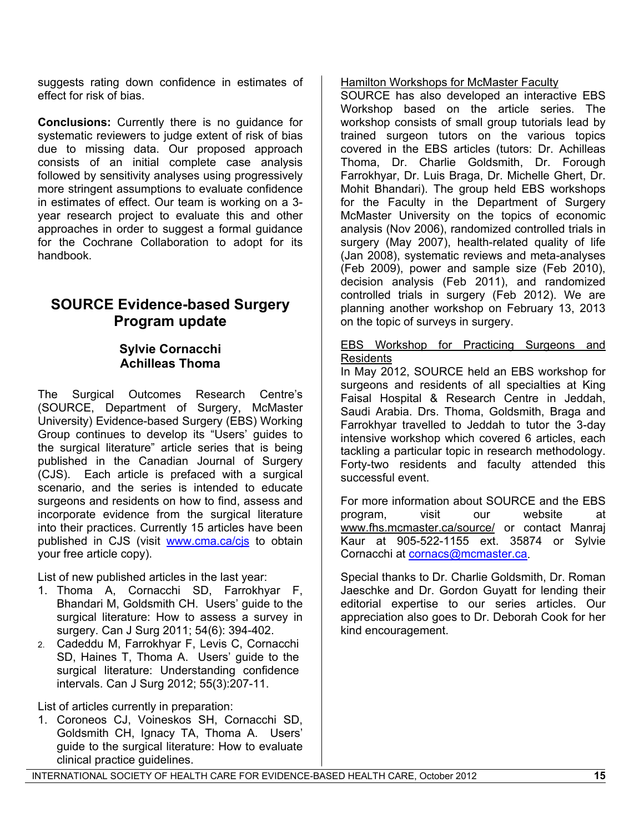suggests rating down confidence in estimates of effect for risk of bias.

**Conclusions:** Currently there is no guidance for systematic reviewers to judge extent of risk of bias due to missing data. Our proposed approach consists of an initial complete case analysis followed by sensitivity analyses using progressively more stringent assumptions to evaluate confidence in estimates of effect. Our team is working on a 3 year research project to evaluate this and other approaches in order to suggest a formal guidance for the Cochrane Collaboration to adopt for its handbook.

# **SOURCE Evidence-based Surgery Program update**

### **Sylvie Cornacchi Achilleas Thoma**

The Surgical Outcomes Research Centre's (SOURCE, Department of Surgery, McMaster University) Evidence-based Surgery (EBS) Working Group continues to develop its "Users' guides to the surgical literature" article series that is being published in the Canadian Journal of Surgery (CJS). Each article is prefaced with a surgical scenario, and the series is intended to educate surgeons and residents on how to find, assess and incorporate evidence from the surgical literature into their practices. Currently 15 articles have been published in CJS (visit [www.cma.ca/cjs](http://www.cma.ca/cjs) to obtain your free article copy).

List of new published articles in the last year:

- 1. Thoma A, Cornacchi SD, Farrokhyar F, Bhandari M, Goldsmith CH. Users' guide to the surgical literature: How to assess a survey in surgery. Can J Surg 2011; 54(6): 394-402.
- 2. Cadeddu M, Farrokhyar F, Levis C, Cornacchi SD, Haines T, Thoma A. Users' guide to the surgical literature: Understanding confidence intervals. Can J Surg 2012; 55(3):207-11.

List of articles currently in preparation:

1. Coroneos CJ, Voineskos SH, Cornacchi SD, Goldsmith CH, Ignacy TA, Thoma A. Users' guide to the surgical literature: How to evaluate clinical practice guidelines.

### Hamilton Workshops for McMaster Faculty

SOURCE has also developed an interactive EBS Workshop based on the article series. The workshop consists of small group tutorials lead by trained surgeon tutors on the various topics covered in the EBS articles (tutors: Dr. Achilleas Thoma, Dr. Charlie Goldsmith, Dr. Forough Farrokhyar, Dr. Luis Braga, Dr. Michelle Ghert, Dr. Mohit Bhandari). The group held EBS workshops for the Faculty in the Department of Surgery McMaster University on the topics of economic analysis (Nov 2006), randomized controlled trials in surgery (May 2007), health-related quality of life (Jan 2008), systematic reviews and meta-analyses (Feb 2009), power and sample size (Feb 2010), decision analysis (Feb 2011), and randomized controlled trials in surgery (Feb 2012). We are planning another workshop on February 13, 2013 on the topic of surveys in surgery.

#### EBS Workshop for Practicing Surgeons and Residents

In May 2012, SOURCE held an EBS workshop for surgeons and residents of all specialties at King Faisal Hospital & Research Centre in Jeddah, Saudi Arabia. Drs. Thoma, Goldsmith, Braga and Farrokhyar travelled to Jeddah to tutor the 3-day intensive workshop which covered 6 articles, each tackling a particular topic in research methodology. Forty-two residents and faculty attended this successful event.

For more information about SOURCE and the EBS program, visit our website at www.fhs.mcmaster.ca/source/ or contact Manraj Kaur at 905-522-1155 ext. 35874 or Sylvie Cornacchi at [cornacs@mcmaster.ca](mailto:cornacs@mcmaster.ca).

Special thanks to Dr. Charlie Goldsmith, Dr. Roman Jaeschke and Dr. Gordon Guyatt for lending their editorial expertise to our series articles. Our appreciation also goes to Dr. Deborah Cook for her kind encouragement.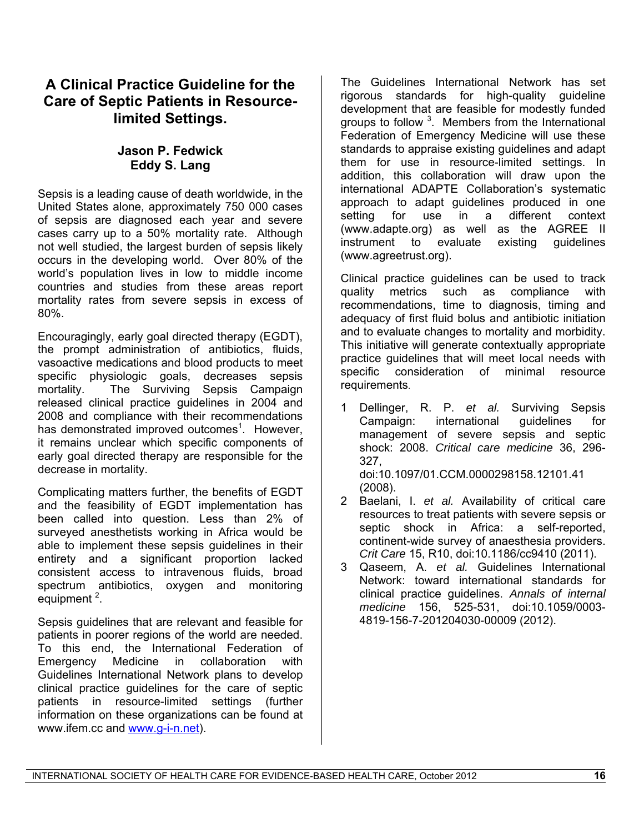# **A Clinical Practice Guideline for the Care of Septic Patients in Resourcelimited Settings.**

### **Jason P. Fedwick Eddy S. Lang**

Sepsis is a leading cause of death worldwide, in the United States alone, approximately 750 000 cases of sepsis are diagnosed each year and severe cases carry up to a 50% mortality rate. Although not well studied, the largest burden of sepsis likely occurs in the developing world. Over 80% of the world's population lives in low to middle income countries and studies from these areas report mortality rates from severe sepsis in excess of 80%.

Encouragingly, early goal directed therapy (EGDT), the prompt administration of antibiotics, fluids, vasoactive medications and blood products to meet specific physiologic goals, decreases sepsis mortality. The Surviving Sepsis Campaign released clinical practice guidelines in 2004 and 2008 and compliance with their recommendations has demonstrated improved outcomes<sup>[1](#page-13-0)</sup>. However, it remains unclear which specific components of early goal directed therapy are responsible for the decrease in mortality.

Complicating matters further, the benefits of EGDT and the feasibility of EGDT implementation has been called into question. Less than 2% of surveyed anesthetists working in Africa would be able to implement these sepsis guidelines in their entirety and a significant proportion lacked consistent access to intravenous fluids, broad spectrum antibiotics, oxygen and monitoring equipment<sup>[2](#page-13-1)</sup>.

<span id="page-15-0"></span>Sepsis guidelines that are relevant and feasible for patients in poorer regions of the world are needed. To this end, the International Federation of Emergency Medicine in collaboration with Guidelines International Network plans to develop clinical practice guidelines for the care of septic patients in resource-limited settings (further information on these organizations can be found at www.ifem.cc and [www.g-i-n.net](http://www.g-i-n.net/)).

The Guidelines International Network has set rigorous standards for high-quality guideline development that are feasible for modestly funded groups to follow<sup>[3](#page-15-0)</sup>. Members from the International Federation of Emergency Medicine will use these standards to appraise existing guidelines and adapt them for use in resource-limited settings. In addition, this collaboration will draw upon the international ADAPTE Collaboration's systematic approach to adapt guidelines produced in one setting for use in a different context (www.adapte.org) as well as the AGREE II instrument to evaluate existing guidelines (www.agreetrust.org).

Clinical practice guidelines can be used to track quality metrics such as compliance with recommendations, time to diagnosis, timing and adequacy of first fluid bolus and antibiotic initiation and to evaluate changes to mortality and morbidity. This initiative will generate contextually appropriate practice guidelines that will meet local needs with specific consideration of minimal resource requirements.

- 1 Dellinger, R. P. *et al.* Surviving Sepsis Campaign: international guidelines for management of severe sepsis and septic shock: 2008. *Critical care medicine* 36, 296- 327, doi:10.1097/01.CCM.0000298158.12101.41 (2008).
- 2 Baelani, I. *et al.* Availability of critical care resources to treat patients with severe sepsis or septic shock in Africa: a self-reported, continent-wide survey of anaesthesia providers. *Crit Care* 15, R10, doi:10.1186/cc9410 (2011).
- 3 Qaseem, A. *et al.* Guidelines International Network: toward international standards for clinical practice guidelines. *Annals of internal medicine* 156, 525-531, doi:10.1059/0003- 4819-156-7-201204030-00009 (2012).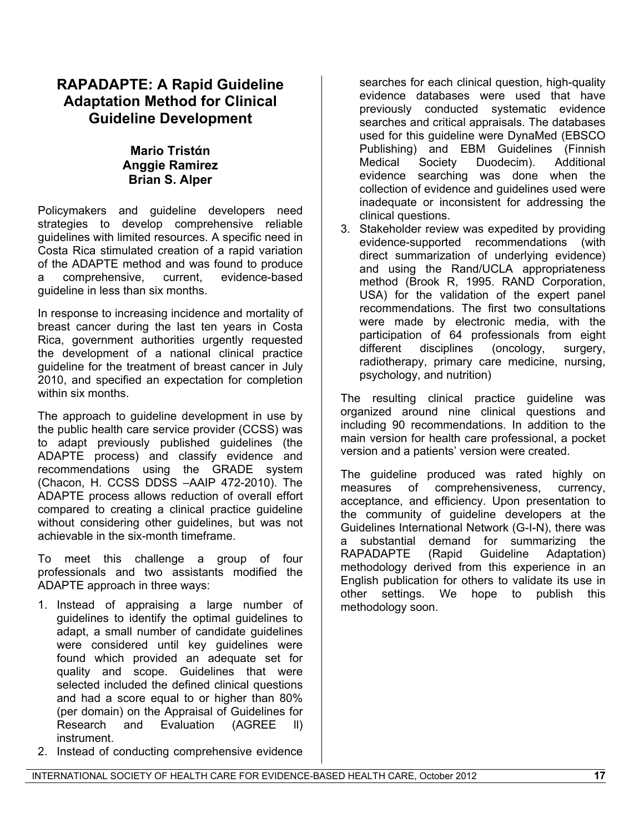# **RAPADAPTE: A Rapid Guideline Adaptation Method for Clinical Guideline Development**

### **Mario Tristάn Anggie Ramirez Brian S. Alper**

Policymakers and guideline developers need strategies to develop comprehensive reliable guidelines with limited resources. A specific need in Costa Rica stimulated creation of a rapid variation of the ADAPTE method and was found to produce a comprehensive, current, evidence-based guideline in less than six months.

In response to increasing incidence and mortality of breast cancer during the last ten years in Costa Rica, government authorities urgently requested the development of a national clinical practice guideline for the treatment of breast cancer in July 2010, and specified an expectation for completion within six months.

The approach to guideline development in use by the public health care service provider (CCSS) was to adapt previously published guidelines (the ADAPTE process) and classify evidence and recommendations using the GRADE system (Chacon, H. CCSS DDSS –AAIP 472-2010). The ADAPTE process allows reduction of overall effort compared to creating a clinical practice guideline without considering other guidelines, but was not achievable in the six-month timeframe.

To meet this challenge a group of four professionals and two assistants modified the ADAPTE approach in three ways:

- 1. Instead of appraising a large number of guidelines to identify the optimal guidelines to adapt, a small number of candidate guidelines were considered until key guidelines were found which provided an adequate set for quality and scope. Guidelines that were selected included the defined clinical questions and had a score equal to or higher than 80% (per domain) on the Appraisal of Guidelines for Research and Evaluation (AGREE ll) instrument.
- 2. Instead of conducting comprehensive evidence

searches for each clinical question, high-quality evidence databases were used that have previously conducted systematic evidence searches and critical appraisals. The databases used for this guideline were DynaMed (EBSCO Publishing) and EBM Guidelines (Finnish Medical Society Duodecim). Additional evidence searching was done when the collection of evidence and guidelines used were inadequate or inconsistent for addressing the clinical questions.

3. Stakeholder review was expedited by providing evidence-supported recommendations (with direct summarization of underlying evidence) and using the Rand/UCLA appropriateness method (Brook R, 1995. RAND Corporation, USA) for the validation of the expert panel recommendations. The first two consultations were made by electronic media, with the participation of 64 professionals from eight different disciplines (oncology, surgery, radiotherapy, primary care medicine, nursing, psychology, and nutrition)

The resulting clinical practice guideline was organized around nine clinical questions and including 90 recommendations. In addition to the main version for health care professional, a pocket version and a patients' version were created.

The guideline produced was rated highly on measures of comprehensiveness, currency, acceptance, and efficiency. Upon presentation to the community of guideline developers at the Guidelines International Network (G-I-N), there was a substantial demand for summarizing the RAPADAPTE (Rapid Guideline Adaptation) methodology derived from this experience in an English publication for others to validate its use in other settings. We hope to publish this methodology soon.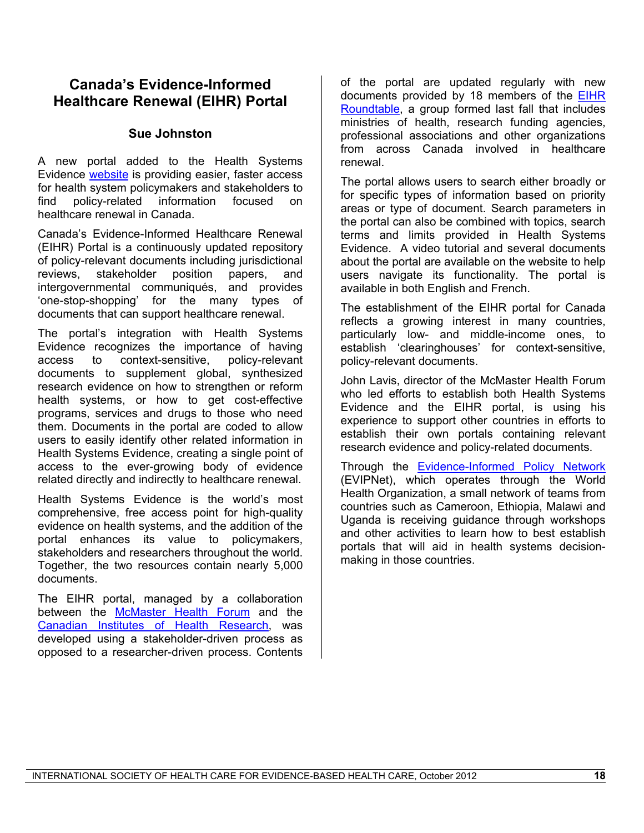#### developed using a stakeholder-driven process as opposed to a researcher-driven process. Contents

access to the ever-growing body of evidence related directly and indirectly to healthcare renewal. Health Systems Evidence is the world's most comprehensive, free access point for high-quality evidence on health systems, and the addition of the portal enhances its value to policymakers, stakeholders and researchers throughout the world. Together, the two resources contain nearly 5,000 documents.

The EIHR portal, managed by a collaboration between the [McMaster Health Forum](http://www.mcmasterhealthforum.org/) and the [Canadian Institutes of Health Research](http://www.cihr-irsc.gc.ca/e/193.html), was

access to context-sensitive, policy-relevant documents to supplement global, synthesized research evidence on how to strengthen or reform health systems, or how to get cost-effective programs, services and drugs to those who need them. Documents in the portal are coded to allow users to easily identify other related information in Health Systems Evidence, creating a single point of

(EIHR) Portal is a continuously updated repository of policy-relevant documents including jurisdictional<br>reviews. stakeholder position papers, and stakeholder position papers, and intergovernmental communiqués, and provides 'one-stop-shopping' for the many types of documents that can support healthcare renewal. The portal's integration with Health Systems

Evidence recognizes the importance of having

Evidence [website](http://www.healthsystemsevidence.org/) is providing easier, faster access for health system policymakers and stakeholders to find policy-related information focused on healthcare renewal in Canada. Canada's Evidence-Informed Healthcare Renewal

**Canada's Evidence-Informed Healthcare Renewal (EIHR) Portal** 

**Sue Johnston** 

A new portal added to the Health Systems

of the portal are updated regularly with new documents provided by 18 members of the [EIHR](http://www.cihr-irsc.gc.ca/e/44928.html)  [Roundtable](http://www.cihr-irsc.gc.ca/e/44928.html), a group formed last fall that includes ministries of health, research funding agencies, professional associations and other organizations from across Canada involved in healthcare renewal.

The portal allows users to search either broadly or for specific types of information based on priority areas or type of document. Search parameters in the portal can also be combined with topics, search terms and limits provided in Health Systems Evidence. A video tutorial and several documents about the portal are available on the website to help users navigate its functionality. The portal is available in both English and French.

The establishment of the EIHR portal for Canada reflects a growing interest in many countries, particularly low- and middle-income ones, to establish 'clearinghouses' for context-sensitive, policy-relevant documents.

John Lavis, director of the McMaster Health Forum who led efforts to establish both Health Systems Evidence and the EIHR portal, is using his experience to support other countries in efforts to establish their own portals containing relevant research evidence and policy-related documents.

Through the **[Evidence-Informed Policy Network](http://www.evipnet.org/)** (EVIPNet), which operates through the World Health Organization, a small network of teams from countries such as Cameroon, Ethiopia, Malawi and Uganda is receiving guidance through workshops and other activities to learn how to best establish portals that will aid in health systems decisionmaking in those countries.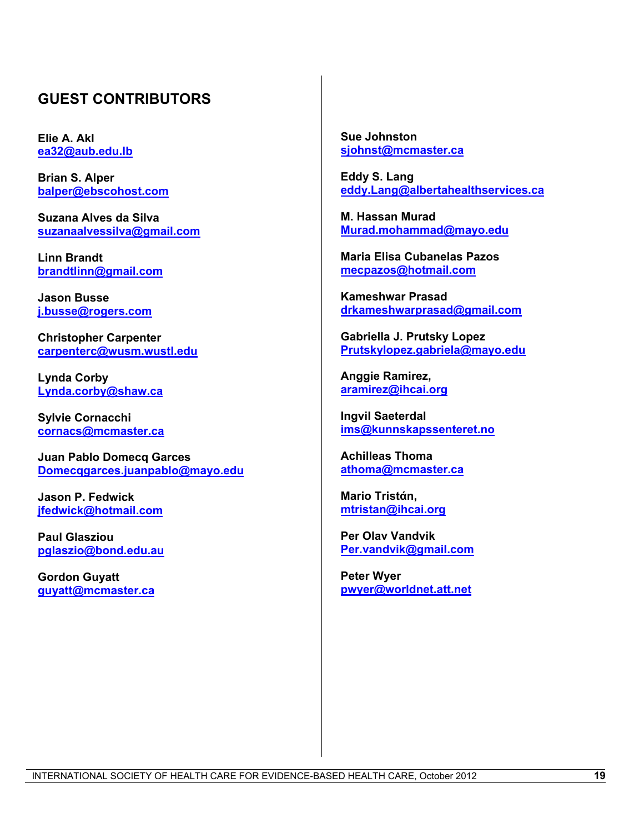# **GUEST CONTRIBUTORS**

**Elie A. Akl [ea32@aub.edu.lb](mailto:ea32@aub.edu.lb)**

**Brian S. Alper [balper@ebscohost.com](mailto:balper@ebscohost.com)**

**Suzana Alves da Silva [suzanaalvessilva@gmail.com](mailto:suzanaalvessilva@gmail.com)**

**Linn Brandt [brandtlinn@gmail.com](mailto:brandtlinn@gmail.com)**

**Jason Busse [j.busse@rogers.com](mailto:j.busse@rogers.com)**

**Christopher Carpenter [carpenterc@wusm.wustl.edu](mailto:carpenterc@wusm.wustl.edu)**

**Lynda Corby [Lynda.corby@shaw.ca](mailto:Lynda.corby@shaw.ca)**

**Sylvie Cornacchi [cornacs@mcmaster.ca](mailto:cornacs@mcmaster.ca)**

**Juan Pablo Domecq Garces [Domecqgarces.juanpablo@mayo.edu](mailto:Domecqgarces.juanpablo@mayo.edu)**

**Jason P. Fedwick [jfedwick@hotmail.com](mailto:jfedwick@hotmail.com)**

**Paul Glasziou [pglaszio@bond.edu.au](mailto:pglaszio@bond.edu.au)**

**Gordon Guyatt [guyatt@mcmaster.ca](mailto:guyatt@mcmaster.ca)** **Sue Johnston [sjohnst@mcmaster.ca](mailto:sjohnst@mcmaster.ca)**

**Eddy S. Lang [eddy.Lang@albertahealthservices.ca](mailto:eddy.Lang@albertahealthservices.ca)**

**M. Hassan Murad [Murad.mohammad@mayo.edu](mailto:Murad.mohammad@mayo.edu)**

**Maria Elisa Cubanelas Pazos [mecpazos@hotmail.com](mailto:mecpazos@hotmail.com)**

**Kameshwar Prasad [drkameshwarprasad@gmail.com](mailto:drkameshwarprasad@gmail.com)**

**Gabriella J. Prutsky Lopez [Prutskylopez.gabriela@mayo.edu](mailto:Prutskylopez.gabriela@mayo.edu)**

**Anggie Ramirez, [aramirez@ihcai.org](mailto:aramirez@ihcai.org)**

**Ingvil Saeterdal [ims@kunnskapssenteret.no](mailto:ims@kunnskapssenteret.no)**

**Achilleas Thoma [athoma@mcmaster.ca](mailto:athoma@mcmaster.ca)**

**Mario Tristάn, [mtristan@ihcai.org](mailto:mtristan@ihcai.org)**

**Per Olav Vandvik [Per.vandvik@gmail.com](mailto:Per.vandvik@gmail.com)**

**Peter Wyer [pwyer@worldnet.att.net](mailto:pwyer@worldnet.att.net)**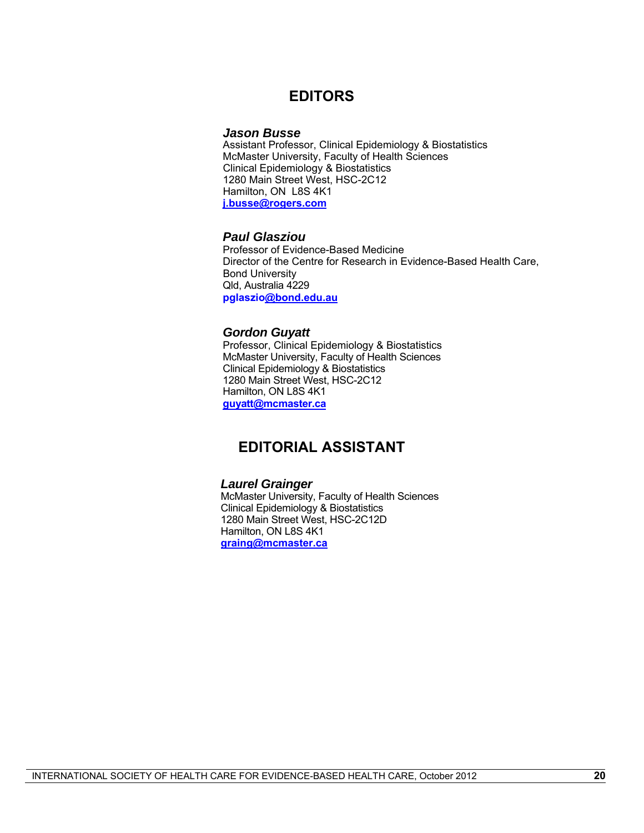### **EDITORS**

#### *Jason Busse*

Assistant Professor, Clinical Epidemiology & Biostatistics McMaster University, Faculty of Health Sciences Clinical Epidemiology & Biostatistics 1280 Main Street West, HSC-2C12 Hamilton, ON L8S 4K1 **[j.busse@rogers.com](mailto:j.busse@rogers.com)**

#### *Paul Glasziou*

Professor of Evidence-Based Medicine Director of the Centre for Research in Evidence-Based Health Care, Bond University Qld, Australia 4229 **pglaszi[o@bond.edu.au](mailto:Paul_Glasziou@bond.edu.au)**

#### *Gordon Guyatt*

Professor, Clinical Epidemiology & Biostatistics McMaster University, Faculty of Health Sciences Clinical Epidemiology & Biostatistics 1280 Main Street West, HSC-2C12 Hamilton, ON L8S 4K1 **[guyatt@mcmaster.ca](mailto:guyatt@mcmaster.ca)**

# **EDITORIAL ASSISTANT**

#### *Laurel Grainger*

McMaster University, Faculty of Health Sciences Clinical Epidemiology & Biostatistics 1280 Main Street West, HSC-2C12D Hamilton, ON L8S 4K1 **[graing@mcmaster.ca](mailto:graing@mcmaster.ca)**